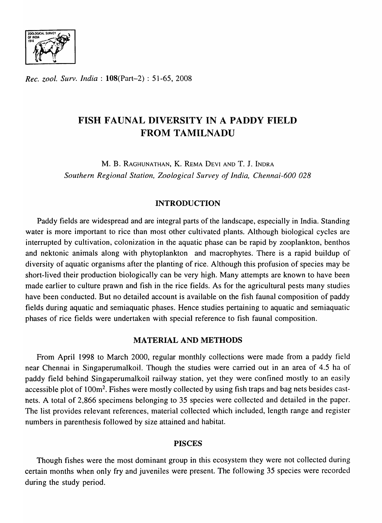

*Rec. zool. Surv. India:* l08(Part-2) : 51-65, 2008

# FISH FAUNAL DIVERSITY IN A PADDY FIELD FROM TAMILNADU

M. B. RAGHUNATHAN, K. REMA DEYI AND T. J. INDRA *Southern Regional Station, Zoological Survey of India, Chennai-600 028* 

# INTRODUCTION

Paddy fields are widespread and are integral parts of the landscape, especialIy in India. Standing water is more important to rice than most other cultivated plants. Although biological cycles are interrupted by cultivation, colonization in the aquatic phase can be rapid by zooplankton, benthos and nektonic animals along with phytoplankton and macrophytes. There is a rapid buildup of diversity of aquatic organisms after the planting of rice. Although this profusion of species may be short-lived their production biologically can be very high. Many attempts are known to have been made earlier to culture prawn and fish in the rice fields. As for the agricultural pests many studies have been conducted. But no detailed account is available on the fish faunal composition of paddy fields during aquatic and semiaquatic phases. Hence studies pertaining to aquatic and semiaquatic phases of rice fields were undertaken with special reference to fish faunal composition.

## MATERIAL AND METHODS

From April 1998 to March 2000, regular monthly collections were made from a paddy field near Chennai in Singaperumalkoil. Though the studies were carried out in an area of 4.5 ha of paddy field behind Singaperumalkoil railway station, yet they were confined mostly to an easily accessible plot of 100m<sup>2</sup>. Fishes were mostly collected by using fish traps and bag nets besides castnets. A total of 2,866 specimens belonging to 35 species were collected and detailed in the paper. The list provides relevant references, material collected which included, length range and register numbers in parenthesis followed by size attained and habitat.

## PISCES

Though fishes were the most dominant group in this ecosystem they were not collected during certain months when only fry and juveniles were present. The following 35 species were recorded during the study period.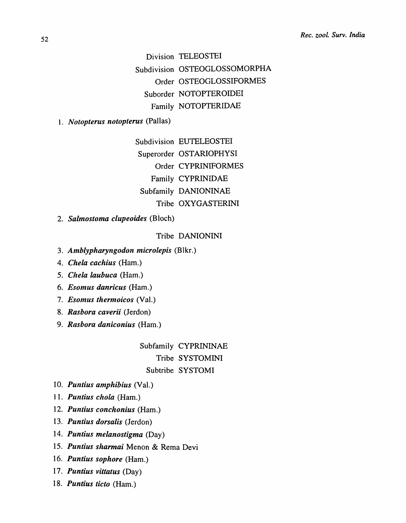Division TELEOSTEI Subdivision OSTEOGLOSSOMORPHA Order OSTEOGLOSSIFORMES Suborder NOTOPTEROIDEI Family NOTOPTERIDAE

*1. Notopterus notopterus* (Pallas)

Subdivision EUTELEOSTEI Superorder OSTARIOPHYSI Order CYPRINIFORMES Family CYPRINIDAE Subfamily DANIONINAE Tribe OXYGASTERINI

*2. Salmostoma clupeoides* (Bloch)

## Tribe DANIONINI

- *3. Amhlypharyngodon microlepis* (Blkr.)
- *4. Chela cachius* (Ham.)
- *5. Chela laubuca* (Ham.)
- *6. Esomus danricus* (Ham.)
- *7. Esomus thermoicos* (Val.)
- *8. Rasbora caverii* (Jerdon)
- *9. Rashora daniconius* (Ham.)

# Subfamily CYPRININAE Tribe SYSTOMINI Subtribe SYSTOMI

- *10. Puntius amphibius* (Val.)
- *11. Puntius chola* (Ham.)
- *12. Puntius conchonius* (Ham.)
- *13. Puntius dorsalis* (Jerdon)
- *14. Puntius melanostigma* (Day)
- *15. Puntius sharmai* Menon & Rema Devi
- *16. Puntius sophore* (Ham.)
- *17. Puntius vittatus* (Day)
- *18. Puntius ticto* (Ham.)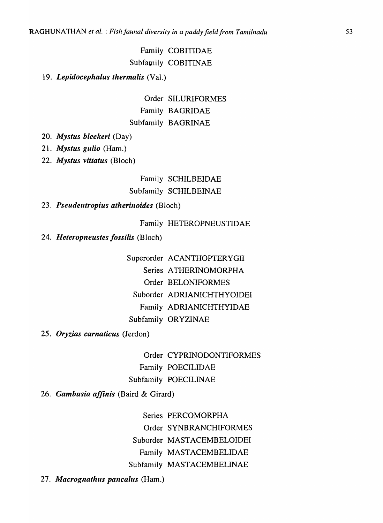# Family COBITIDAE Subfamily COBITINAE

## *19. Lepidocephalus thermalis* (Val.)

Order SILURIFORMES Family BAGRIDAE Subfamily BAGRINAE

- *20. Mystus bleekeri* (Day)
- *21. Mystus gulio* (Ham.)
- *22. Mystus vittatus* (Bloch)

Family SCHILBEIDAE Subfamily SCHILBEINAE

# *23. Pseudeutropius atherinoides* (Bloch)

Family HETEROPNEUSTIDAE

*24. Heteropneustes fossilis* (Bloch)

Superorder ACANTHOPTERYGII Series ATHERINOMORPHA Order BELONIFORMES Suborder ADRIANICHTHYOIDEI Family ADRIANICHTHYIDAE Subfamily ORYZINAE

*25. Oryzias carnaticus* (Jerdon)

Order CYPRINODONTIFORMES Family POECILIDAE Subfamily POECILINAE

*26. Gambusia affinis* (Baird & Girard)

Series PERCOMORPHA Order SYNBRANCHIFORMES Suborder MASTACEMBELOIDEI Family MASTACEMBELIDAE Subfamily MASTACEMBELINAE

*27. Macrognathus pancalus* (Ham.)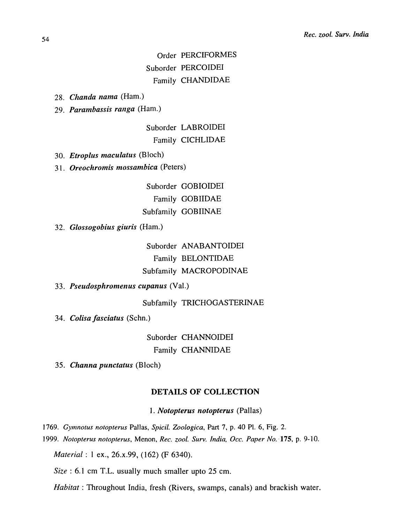Order PERCIFORMES Suborder PERCOIDEI Family CHANDIDAE

28. *Chanda nama* (Ham.)

29. *Parambassis ranga* (Ham.)

Suborder LABROIDEI Family CICHLIDAE

30. *Etroplus maculatus* (Bloch)

31. *Oreochromis mossambica* (Peters)

Suborder GOBIOIDEI Family GOBIIDAE Subfamily GOBIINAE

32. *Glossogobius giuris* (Ham.)

Suborder ANABANTOIDEI Family BELONTIDAE Subfamily MACROPODINAE

33. *Pseudosphromenus cupanus* (Val.)

Subfamily TRICHOGASTERINAE

34. *Colisa fasciatus* (Schn.)

Suborder CHANNOIDEI Family CHANNIDAE

35. *Channa punctatus* (Bloch)

## **DETAILS OF COLLECTION**

1. *Notopterus notopterus* (Pallas)

1769. Gymnotus notopterus Pallas, Spicil. Zoologica, Part 7, p. 40 Pl. 6, Fig. 2.

*1999. Notopterus notopterus,* Menon, *Rec. zoo!. Surv. India, Dcc. Paper No.* ,175, p. 9-10.

*Material*: 1 ex., 26.x.99, (162) (F 6340).

*Size:* 6.1 cm T.L. usually much smaller upto 25 cm.

*Habitat:* Throughout India, fresh (Rivers, swamps, canals) and brackish water.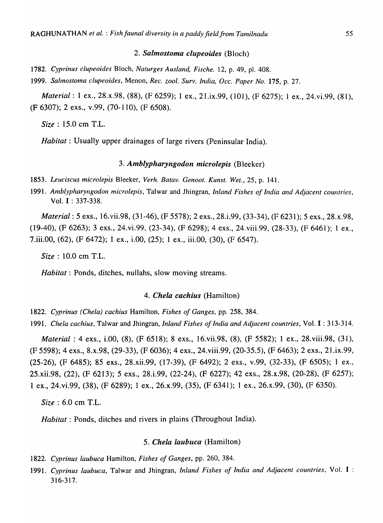#### *2. Salmostoma clupeoides* (Bloch)

*1782. Cyprinus clupeoides* Bloch, *Naturges Ausland, Fische.* 12, p. 49, pI. 408.

*1999. Salmostoma clupeoides,* Menon, *Rec. zoo!. Surv. India, Dcc. Paper No.* 175, p. 27.

*Material:* 1 ex., 28.x.98, (88), (F 6259); 1 ex., 21.ix.99, (101), (F 6275); 1 ex., 24. vi.99, (81), (F 6307); 2 exs., v.99, (70-110), (F 6508).

*Size:* 15.0 cm T.L.

*Habitat:* Usually upper drainages of large rivers (Peninsular India).

## *3. Amb/ypharyngodon micro/epis* (Bleeker)

- *1853. Leuciscus microlep<is* Bleeker, *Verh. Batav. Genoot. Kunst. Wet.,* 25, p. 141.
- 1991. Amblypharyngodon microlepis, Talwar and Jhingran, *Inland Fishes of India and Adjacent countries*, Vol. I : 337-338.

*Material:* 5 exs., 16.vii.98, (31-46), (F 5578); 2 exs., 28.i.99, (33-34), (F 6231); 5 exs., 28.x.98, (19-40), (F 6263); 3 exs., 24.vi.99, (23-34), (F 6298); 4 exs., 24.viii.99, (28-33), (F 6461); 1 ex., 7.iii.00, (62), (F 6472); 1 ex., LOO, (25); 1 ex., iii.OO, (30), (F 6547).

*Size:* 10.0 cm T.L.

*Habitat:* Ponds, ditches, nullahs, slow moving streams.

## *4. Chela cachius* (Hamilton)

*1822. Cyprinus (Chela) cachius* Hami1ton, *Fishes of Ganges,* pp. 258, 384.

*1991. Chela cachius,* Talwar and Jhingran, *Inland Fishes of India and Adjacent countries,* Vol. I : 313-314.

*Material* : 4 exs., i.OO, (8), (F 6518); 8 exs., 16. vii.98, (8), (F 5582); 1 ex., 28. viii.98, (31), (F 5598); 4 exs., 8.x.98, (29-33), (F 6036); 4 exs., 24.viii.99, (20-35.5), (F 6463); 2 exs., 21.ix.99, (25-26), (F 6485); 85 exs., 28.xii.99, (17-39), (F 6492); 2 exs., v.99, (32-33), (F 6505); 1 ex., 25.xii.98, (22), (F 6213); 5 exs., 28.i.99, (22-24), (F 6227); 42 exs., 28.x.98, (20-28), (F 6257); 1 ex., 24.vi.99, (38), (F 6289); 1 ex., 26.x.99, (35), (F 6341); 1 ex., 26.x.99, (30), (F 6350).

*Size* : 6.0 cm T.L.

*Habitat:* Ponds, ditches and rivers in plains (Throughout India).

### *5. Chela laubuca* (Hamilton)

- *1822. Cyprinus laubuca* Hamilton, *Fishes of Ganges,* pp. 260, 384.
- *1991. Cyprinus laubuca,* Talwar and Jhingran, *Inland Fishes of India and Adjacent countries.* Vol. I : 316-317.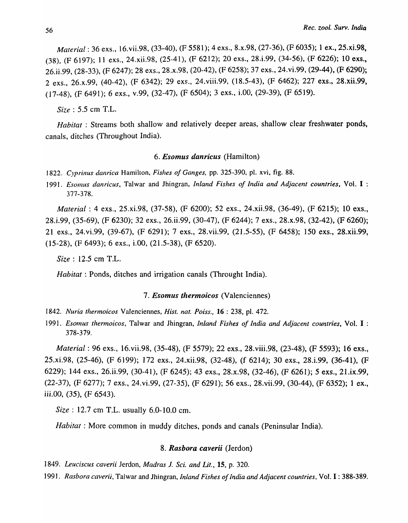*Material:* 36 exs., 16. vii.98, (33-40), (F 5581); 4 exs., 8.x.98, (27-36), (F 6035); 1 ex., 25.xi.98, (38), (F 6197); 11 exs., 24.xii.98, (25-41), (F 6212); 20 exs., 28.i.99, (34-56), (F 6226); 10 exs., 26.ii.99, (28-33), (F 6247); 28 exs., 28.x.98, (20-42), (F 6258); 37 exs., 24.vi.99, (29-44), (F 6290); 2 exs., 26.x.99, (40-42), (F 6342); 29 exs., 24. viii.99, (18.5-43), (F 6462); 227 exs., 28.xii.99, (17-48), (F 6491); 6 exs., v.99, (32-47), (F 6504); 3 exs., i.OO, (29-39), (F 6519).

*Size:* 5.5 cm T.L.

*Habitat* : Streams both shallow and relatively deeper areas, shallow clear freshwater ponds, canals, ditches (Throughout India).

## *6. Esomus danricus* (Hamilton)

*1822. Cyprinus danrica* Hamilton. *Fishes of Ganges,* pp. 325-390. pI. xvi, fig. 88.

1991. *Esomus danricus*, Talwar and Jhingran, *Inland Fishes of India and Adjacent countries*, Vol. I : 377-378.

*Material:* 4 exs., 25.xi.98, (37-58), (F 6200); 52 exs., 24.xii.98, (36-49), (F 6215); 10 exs., 28.i.99, (35-69), (F 6230); 32 exs., 26.ii.99, (30-47), (F 6244); 7 exs., 28.x.98, (32-42), (F 6260); 21 exs., 24.vi.99, (39-67), (F 6291); 7 exs., 28.vii.99, (21.5-55), (F 6458); 150 exs., 28.xii.99, (15-28), (F 6493); 6 exs., LOO, (21.5-38), (F 6520).

*Size:* 12.5 em T.L.

*Habitat:* Ponds, ditches and irrigation canals (Throught India).

## *7. Esomus thermoicos* (Valenciennes)

1842. *Nuria thermoicos* Valenciennes, *Hist. nat. Poiss.*, 16: 238, pl. 472.

1991. *Esomus thermoicos,* Talwar and Jhingran, *Inland Fishes of India and Adjacent countries,* Vol. I : 378-379.

*Material:* 96 exs., 16. vii.98, (35-48), (F 5579); 22 exs., 28. viii.98, (23-48), (F 5593); 16 exs., 25.xi.98, (25-46), (F 6199); 172 exs., 24.xii.98, (32-48), (f 6214); 30 exs., 28,i.99, (36-41), (F 6229); 144 exs., 26.ii.99, (30-41), (F 6245); 43 exs., 28.x.98, (32-46), (F 6261); 5 exs., 21.ix.99, (22-37), (F 6277); 7 *exs.,* 24.vi,99, (27-35), (F 6291); 56 exs., 28.vii.99, (30-44), (F 6352); 1 ex., iii.00,  $(35)$ ,  $(F 6543)$ .

*Size*: **12.7** cm T.L. usually 6.0-10.0 cm.

*Habitat:* More common in muddy ditches, ponds and canals (Peninsular India).

## *8. Rasbora caverii* (Jerdon)

] 849. *Leuciscus caverii* Jerdon, *Madras* 1. *Sci. and Lit.,* 15, p. 320.

*1991. Rasbora caverii,* Talwar and Jhingran, *Inland Fishes of India and Adjacent countries,* Vol. I : 388-389.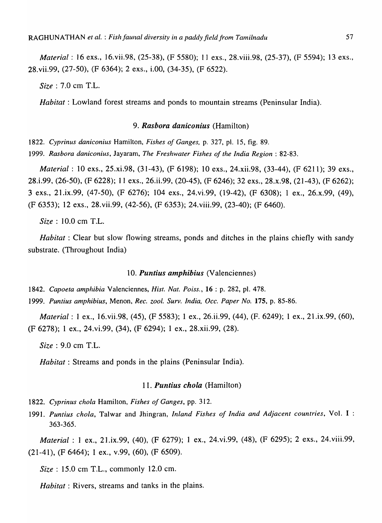*Material:* 16 exs., 16.vii.98, (25-38), (F 5580); 11 exs., 28.viii.98, (25-37), (F 5594); 13 exs., 28.vii.99, (27-50), (F 6364); 2 exs., i.00, (34-35), (F 6522).

*Size:* 7.0 cm T.L.

*Habitat*: Lowland forest streams and ponds to mountain streams (Peninsular India).

#### *9. Rasbora daniconius* (Hamilton)

*1822. Cyprinus dan icon ius* Hamilton, *Fishes of Ganges,* p. 327, pI. 15, fig. 89. *1999. Rasbora daniconius,* Jayaram, *The Freshwater Fishes of the India Region: 82-83.* 

*Material:* 10 exs., 25.xi.98, (31-43), (F 6198); 10 exs., 24.xii.98, (33-44), (F 6211); 39 exs., 28.i.99, (26-50), (F 6228); II exs., 26.ii.99, (20-45), (F 6246); 32 exs., 28.x.98, (21-43), (F 6262); 3 exs., 21.ix.99, (47-50), (F 6276); 104 exs., 24.vi.99, (19-42), (F 6308); 1 ex., 26.x.99, (49), (F 6353); 12 exs., 28. vii.99, (42-56), (F 6353); 24. viii.99, (23-40); (F 6460).

*Size* : 10.0 cm T.L.

*Habitat*: Clear but slow flowing streams, ponds and ditches in the plains chiefly with sandy substrate. (Throughout India)

#### *10. Puntius amphibius* (Valenciennes)

*1842. Capoeta amphibia* Valenciennes, *Hist. Nat. Poiss.,* 16 : p. 282, pI. 478.

*1999. Puntius amphibius,* Menon, *Rec. zool. Surv. India, Dcc. Paper No.* 175, p. 85-86.

*Material:* 1 ex., 16.vii.98, (45), (F 5583); 1 ex., 26.ii.99, (44), (F. 6249); 1 ex., 21.ix.99, (60), (F 6278); 1 ex., 24.vi.99, (34), (F 6294); I ex., 28.xii.99, (28).

*Size:* 9.0 cm T.L.

*Habitat*: Streams and ponds in the plains (Peninsular India).

## *11. Puntius chola* (Hamilton)

*1822. Cyprinus chola* Hamilton, *Fishes of Ganges,* pp. 312.

*1991. Puntius chola,* Talwar and Jhingran, *Inland Fishes of India and Adjacent countries,* Vol. I : 363-365.

*Material:* I ex., 2I.ix.99, (40), (F 6279); I ex., 24.vi.99, (48), (F 6295); 2 exs., 24.viii.99, (21-41), (F 6464); 1 ex., v.99, (60), (F 6509).

*Size:* 15.0 cm T.L., commonly 12.0 cm.

*Habitat:* Rivers, streams and tanks in the plains.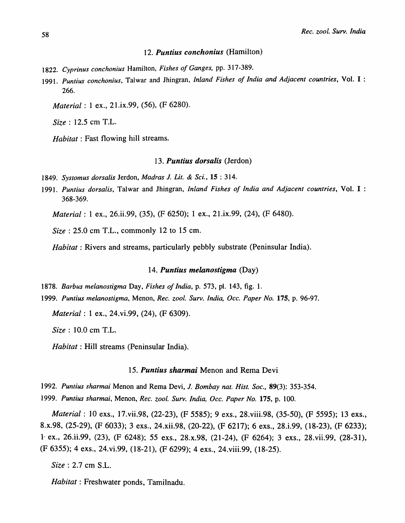#### *12. Puntius conchonius* (Hamilton)

- *1822. Cyprinus conchonius* Hamilton, *Fishes of Ganges,* pp. 317-389.
- *1991. Puntius conchonius,* Talwar and Jhingran, *Inland Fishes of India and Adjacent countries,* Vol. I : 266.

*Material:* 1 ex., 21.ix.99, (56), (F 6280).

*Size:* 12.5 cm T.L.

*Habitat:* Fast flowing hill streams.

#### *13. Puntius dorsalis* (Jerdon)

*1849. Systomus dorsalis* Jerdon, *Madras* J. *Lit.* & *Sci.,* 15 : 314.

*1991. Puntius dorsalis,* Talwar and Jhingran, *Inland Fishes of India and Adjacent countries,* Vol. I : 368-369.

*Material:* 1 ex., 26.ii.99, (35), (F 6250); 1 ex., *21.ix.99,* (24), (F 6480).

*Size:* 25.0 em T.L., commonly 12 to 15 cm.

*Habitat:* Rivers and streams, particularly pebbly substrate (Peninsular India).

## *14. Puntius meianostigma* (Day)

*1878. Barbus melanostigma* Day, *Fishes of India,* p. 573, pI. 143, fig. 1.

*1999. Puntius melanostigma,* Menon, *Rec. zool. Surv. India, Dcc. Paper No.* 175, p. 96-97.

*Material:* 1 ex., 24.vi.99, (24), (F 6309).

*Size:* 10.0 em T.L.

*Habitat:* Hill streams (Peninsular India).

### *15. Puntius sharmai* Menon and Rema Devi

*1992. Puntius sharmai* Menon and Rema Devi, J. *Bombay nat. Hist. Soc.,* 89(3): 353-354. *1999. Puntius sharmai,* Menon, *Rec. zool. Surv. India, Dcc. Paper No.* 175, p. 100.

*Material:* 10 exs., 17.vii.98, (22-23), (F 5585); 9 exs., 28.viii.98, (35-50), (F 5595); 13 exs., 8.x.98, (25-29), (F 6033); 3 exs., 24.xii.98, (20-22), (F 6217); 6 exs., 28.i.99, (18-23), (F 6233); 1- ex., 26.ii.99, (23), (F 6248); 55 exs., 28.x.98, (21-24), (F 6264); 3 exs., 28.vii.99, (28-31), (F 6355); 4 exs., 24.vi.99, (18-21), (F 6299); 4 exs., 24.viii.99, (18-25).

*Size:* 2.7 em S.L.

*Habitat:* Freshwater ponds, Tamilnadu.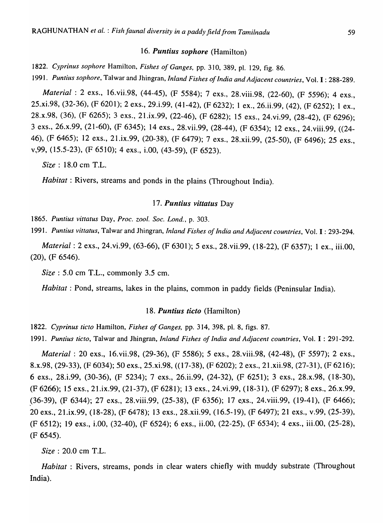#### *16. Puntius sophore* (Hamilton)

*1822. Cyprinus sophore* Hamilton, *Fishes of Ganges,* pp. 310, 389, pI. 129, fig. 86.

*1991. Puntius sophore,* Talwar and Jhingran, *Inland Fishes of India and Adjacent countries,* Vol. I : 288-289.

*Material:* 2 exs., 16.vii.98, (44-45), (F 5584); 7 exs., 28.viii.98, (22-60), (F 5596); 4 exs., 25.xi.98, (32-36), (F 6201); 2 exs., 29.i.99, (41-42), (F 6232); 1 ex., 26.ii.99, (42), (F 6252); 1 ex., 28.x.98, (36), (F 6265); 3 exs., 21.ix.99, (22-46), (F 6282); 15 exs., 24.vi.99, (28-42), (F 6296); 3 exs., 26.x.99, (21-60), (F 6345); 14 exs., 28.vii.99, (28-44), (F 6354); 12 exs., 24.viii.99, «24- 46), (F 6465); 12 exs., 21.ix.99, (20-38), (F 6479); 7 exs., 28.xii.99, (25-50), (F 6496); 25 exs., v,99, (15.5-23), (F 6510); 4 exs., i.OO, (43-59), (F 6523).

*Size:* 18.0 cm T.L.

*Habitat*: Rivers, streams and ponds in the plains (Throughout India).

## *17. Puntius vittatus* Day

] 865. *Puntius vittatus* Day, *Proc. zool. Soc. Lond.,* p. 303.

*1991. Puntius vittatus,* Talwar and Jhingran, *Inland Fishes of India and Adjacent countries,* Vol. I : 293-294.

*Material:* 2 exs., 24.vi.99, (63-66), (F 6301); 5 exs., 28.vii.99, (18-22), (F 6357); 1 ex., iii.OO, (20), (F 6546).

*Size*: **5.0** cm T.L., commonly 3.5 cm.

*Habitat*: Pond, streams, lakes in the plains, common in paddy fields (Peninsular India).

## *18. Puntius ticto* (Hamilton)

*1822. Cyprinus ticto* Hamilton, *Fishes of Ganges,* pp. 314, 398, pI. 8, figs. 87.

*1991. Puntius ficto,* Talwar and Jhingran, *Inland Fishes of India and Adjacent countries,* Vol. I : 291-292.

*Material: 20 exs., 16. vii.98, (29-36), (F 5586); 5 exs., 28. viii.98, (42-48), (F 5597); 2 exs.,* 8.x.98, (29-33), (F 6034); 50 exs., 25.xi.98, « 17-38), (F 6202); 2 exs., 21.xii.98, (27-31), (F 6216); 6 exs., 28.i.99, (30-36), (F 5234); 7 exs., 26.ii.99, (24-32), (F 6251); 3 exs., 28.x.98, (18-30), (F 6266); 15 exs., 21.ix.99, (21-37), (F 6281); 13 exs., 24. vi.99, (18-31), (F 6297); 8 exs., 26.x.99, ,(36-39), (F 6344); 27 exs., 28.viii.99, (25-38), (F 6356); 17 e.xs., 24.viii.99, (19-41), (F 6466); 20 exs., 21.ix.99, (18-28), (F 6478); 13 exs., 28.xii.99, (16.5-19), (F 6497); 21 exs., v.99, (25-39), (F 6512); 19 exs., i.OO, (32-40), (F 6524); 6 exs., ii.OO, (22-25), (F 6534); 4 exs., iii.OO, (25-28), (F 6545).

*Size* : 20.0 em T.L.

*Habitat* : Rivers, streams, ponds in clear waters chiefly with muddy substrate (Throughout India).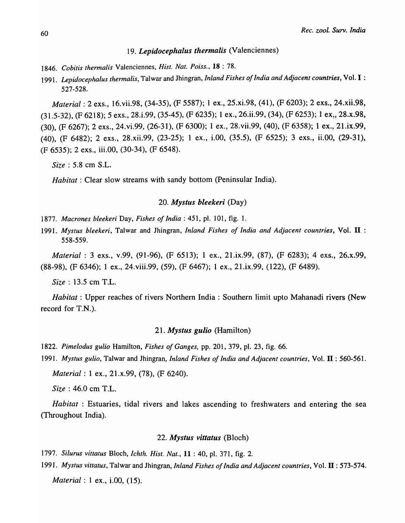# *19. Lepidocephalus thermalis* (Valenciennes)

- 1846. Cobitis thermalis Valenciennes, *Hist. Nat. Poiss.*, 18:78.
- *1991. Lepidocephalus thermalis,* Talwar and Jhingran, *Inland Fishes of India and Adjacent countries,* Vol. I : 527-528.

*Material:* 2 exs., 16.vii.98, (34-35), (F 5587); 1 ex., 25.xi.98, (41), (F 6203); 2 exs., 24.xii.98, (31.5-32), (F 6218); 5 exs., 28.i.99, (35-45), (F 6235); 1 ex., 26.ii.99, (34), (F 6253); 1 ex~, 28.x.98, (30), (F 6267); 2 exs., 24.vi.99, (26-31), (F 6300); 1 ex., 28.vii.99, (40), (F 6358); 1 ex., 21.ix.99, (40), (F 6482); 2 exs., 28.xii.99, (23-25); 1 ex., LOO, (35.5), (F 6525); 3 exs., ii.OO, (29-31), (F 6535); 2 exs., iii.OO, (30-34), (F 6548).

*Size:* 5.8 cm S.L.

*Habitat*: Clear slow streams with sandy bottom (Peninsular India).

#### *20. Mystus bleekeri* (Day)

*1877. Macrones bleekeri* Day, *Fishes of India:* 451, pI. 101, fig. 1.

*1991. Mystus bleekeri,* Talwar and Jhingran, *Inland Fishes of India and Adjacent countries,* Vol. II : 558-559.

*Material:* 3 exs., v.99, (91-96), (F 6513); 1 ex., 21.ix.99, (87), (F 6283); 4 exs., 26.x.99, (88-98), (F 6346); 1 ex., 24.viii.99, (59), (F 6467); 1 ex., 21.ix.99, (122), (F 6489).

*Size* : 13.5 cm T.L.

*Habitat:* Upper reaches of rivers Northern India: Southern limit upto Mahanadi rivers (New record for T.N.).

## *21. Mystus gulio* (Hamilton)

- *1822. Pimelodus gulio* Hamilton, *Fishes of Ganges,* pp. 201, 379, pI. 23, fig. 66.
- *1991. Mystus gulio,* Talwar and Jhingran, *Inland Fishes of India and Adjacent countries,* Vol. II : 560-561.

*Material:* 1 ex., 21.x.99, (78), (F 6240).

*Size* : 46.0 cm T.L.

*Habitat* : Estuaries, tidal rivers and lakes ascending to freshwaters and entering the sea (Throughout India).

#### *22. Mystus vittatus* (Bloch)

*1797. Silurus vittatus* Bloch, *Ichth. Hist. Nat.,* 11 : 40, pI. 371, fig. 2.

*1991. Mystus vittatus,* Talwar and Jhingran, *Inland Fishes of India and Adjacent countries,* Vol. II : 573-574.

*Material:* 1 ex., i.OO, (15).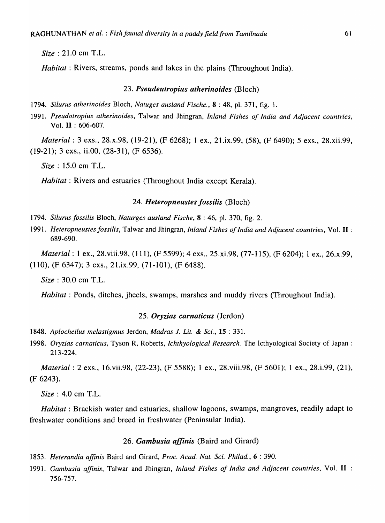*Size:* 21.0 cm T.L.

*Habitat:* Rivers, streams, ponds and lakes in the plains (Throughout India).

### *23. Pseudeutropius atherinoides* (Bloch)

*1794. Silurus atherinoides* Bloch, *Natuges ausland Fische.,* 8 : 48, pI. 371, fig. 1.

*1991. Pseudotropius atherinoides,* Talwar and Jhingran, *Inland Fishes of India and Adjacent countries,*  Vol. **II** : 606-607.

*Material:* 3 exs., 28.x.98, (19-21), (F 6268); 1 ex., 21.ix.99, (58), (F 6490); 5 exs., 28.xii.99, (19-21); 3 exs., ii.OO, (28-31), (F 6536).

*Size:* 15.0 cm T.L.

*Habitat:* Rivers and estuaries (Throughout India except Kerala).

#### *24. Heteropneustes fossilis* (Bloch)

*1794. Silurus fossilis* Bloch, *Naturges ausland Fische,* 8 : 46, pI. 370, fig. 2.

*1991. Heteropneustesfossilis,* Talwar and Jhingran, *Inland Fishes of India and Adjacent countries,* Vol. **II** : 689-690.

*Material:* 1 ex., 28.viii.98, (Ill), (F 5599); 4 exs., 25.xi.98, (77-115), (F 6204); 1 ex., 26.x.99, (110), (F 6347); 3 exs., 21.ix.99, (71-101), (F 6488).

*Size:* 30.0 cm T.L.

*Habitat:* Ponds, ditches, jheels, swamps, marshes and muddy rivers (Throughout India).

#### *25. Oryzias carnaticus* (Jerdon)

- *1848. Aplocheilus melastigmus* Jerdon, *Madras* 1. *Lit.* & *Sci.,* 15 : 331.
- *1998. Oryzias carnaticus,* Tyson R, Roberts, *Ichthyological Research.* The Icthyological Society of Japan: 213-224.

*Material:* 2 exs., 16. vii.98, (22-23), (F 5588); 1 ex., 28. viii.98, (F 5601); 1 ex., 28.i.99, (21), (F 6243).

*Size* : 4.0 cm T.L.

*Habitat*: Brackish water and estuaries, shallow lagoons, swamps, mangroves, readily adapt to freshwater conditions and breed in freshwater (Peninsular India).

### *26. Gambusia affinis* (Baird and Girard)

- *1853. Heterandia affinis* Baird and Girard, *Proc. A cad. Nat. Sci. Phi/ad.,* 6 : 390.
- *1991. Gambusia affinis,* Talwar and Jhingran, *Inland Fishes of India and Adjacent countries,* Vol. **II**  756-757.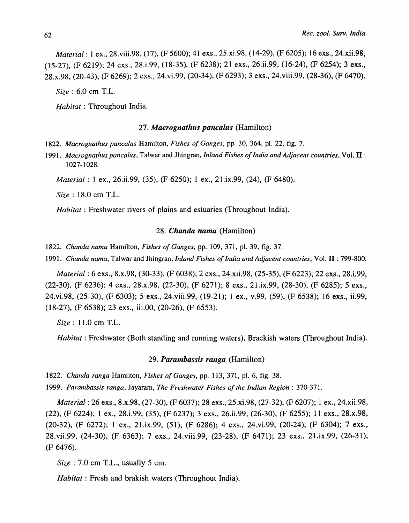*Material:* 1 ex., 28.viii.98, (17), (F 5600); 41 exs., 25.xi.98, (14-29), (F 6205); 16 exs., 24.xii.98, (15-27), (F 6219); 24 exs., 28.i.99, (18-35), (F 6238); 21 exs., 26.ii.99, (16-24), (F 6254); 3 exs., 28.x.98, (20-43), (F 6269); 2 exs., 24.vi.99, (20-34), (F 6293); 3 exs., 24.viii.99, (28-36), (F 6470).

*Size* : 6.0 em T.L.

*Habitat:* Throughout India.

#### *27. Macrognathus pancalus* (Hamilton)

*1822. Macrognathus pancalus* Hamilton, *Fishes of Ganges,* pp. 30, 364, pI. 22, fig. 7.

*1991. Macrognathus pancalus,* Talwar and Jhingran, *Inland Fishes of India and Adjacent countries,* Vol. **II** : 1027-1028.

*Material:* 1 ex., 26.ii.99, (35), (F 6250); 1 ex., 21.ix.99, (24), (F 6480).

*Size* : 18.0 em T.L.

*Habitat:* Freshwater rivers of plains and estuaries (Throughout India).

#### *28. Chanda nama* (Hamilton)

*1822. Chanda nama* Hamilton, *Fishes of Ganges,* pp. 109, 371, pI. 39, fig. 37.

*1991. Chanda nama,* Talwar and Jhingran, *Inland Fishes of India and Adjacent countries,* Vol. **II** : 799-800.

*Material:* 6 exs., 8.x.98, (30-33), (F 6038); 2 exs., 24.xii.98, (25-35), (F 6223); 22 exs., 28.i.99, (22-30), (F 6236); 4 exs., 28.x.98, (22-30), (F 6271); 8 exs., 21.ix.99, (28-30), (F 6285); 5 exs., 24.vi.98, (25-30), (F 6303); 5 exs., 24.viii.99, (19-21); 1 ex., v.99, (59), (F 6538); 16 exs., ii.99, (18-27), (F 6538); 23 exs., iii.OO, (20-26), (F 6553).

*Size:* 11.0 em T.L.

*Habitat:* Freshwater (Both standing and running waters), Brackish waters (Throughout India).

## *29. Parambassis ranga* (Hamilton)

*1822. Chanda ranga* Hamilton, *Fishes of Ganges,* pp. 113, 371, pI. 6, fig. 38.

*1999. Parambassis ranga,* Jayaram, *The Freshwater Fishes of the Indian Region: 370-371.* 

*Material:* 26 exs., 8.x.98, (27-30), (F 6037); 28 exs., 25.xi.98, (27-32), (F 6207); 1 ex., 24.xii.98, (22), (F 6224); 1 ex., 28.i.99, (35), (F 6237); 3 exs., 26.ii,99, (26-30), (F 6255); 11 exs., 28.x.98, (20-32), (F 6272); 1 ex., 21.ix.99, (51), (F 6286); 4 exs., 24.vi.99, (20-24), (F 6304); 7 exs., 28. vii.99, (24-30), (F 6363); 7 exs., 24. viii.99, (23-28), (F 6471); 23 exs., 21.ix.99, (26-31), (F 6476).

*Size:* 7.0 em T.L., usually 5 em.

*Habitat:* Fresh and brakish waters (Throughout India).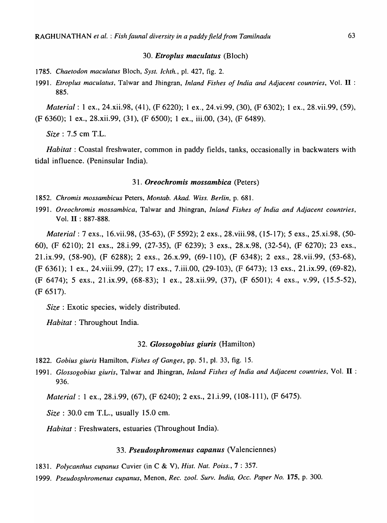## *30. Etroplus maculatus* (Bloch)

- *1785. Chaetodon maculatus* Bloch, *Syst. Ichth.,* pI. 427, fig. 2.
- *1991. Etroplus maculatus,* Talwar and Jhingran, *Inland Fishes of India and Adjacent countries,* Vol. **II** : 885.

*Material:* 1 ex., 24.xii.98, (41), (F 6220); 1 ex., 24. vi.99, (30), (F 6302); 1 ex., 28. vii.99, (59), (F 6360); 1 ex., 28.xii.99, (31), (F 6500); 1 ex., iii.OO, (34), (F 6489).

*Size:* 7.5 cm T.L.

*Habitat*: Coastal freshwater, common in paddy fields, tanks, occasionally in backwaters with tidal influence. (Peninsular India).

## *31. Oreochromis mossambica* (Peters)

- *1852. Chromis mossambicus* Peters, *Montab. Akad. Wiss. Berlin,* p. 681.
- *1991. Oreochromis mossambica,* Talwar and Jhingran, *Inland Fishes of India and Adjacent countries,*  Vol. **II** : 887-888.

*Material:* 7 exs., 16.vii.98, (35-63), (F 5592); 2 exs., 28.viii.98, (15-17); 5 exs., 25.xi.98, (50- 60), (F 6210); 21 exs., 28.i.99, (27-35), (F 6239); 3 exs., 28.x.98, (32-54), (F 6270); 23 exs., 21.ix.99, (58-90), (F 6288); 2 exs., 26.x.99, (69-110), (F 6348); 2 exs., 28. vii.99, (53-68), (F 6361); 1 ex., 24.viii.99, (27); 17 exs., 7.iii.00, (29-103), (F 6473); 13 exs., 2l.ix.99, (69-82), (F 6474); 5 exs., 21.ix.99, (68-83); 1 ex., 28.xii.99, (37), (F 6501); 4 exs., v.99, (15.5-52), (F 6517).

*Size:* Exotic species, widely distributed.

*Habitat:* Throughout India.

#### *32. Glossogobius giuris* (Hamilton)

- *1822. Gobius giuris* Hamilton, *Fishes of Ganges,* pp. 51, pI. 33, fig. 15.
- *1991. Glossogobius giuris,* Talwar and Jhingran, *Inland Fishes of India and Adjacent countries,* Vol. **II** : 936.

*Material:* 1 ex., 28.i.99, (67), (F 6240); 2 exs., 21.i.99, (108-111), (F 6475).

*Size:* 30.0 cm T.L., usually 15.0 cm.

*Habitat:* Freshwaters, estuaries (Throughout India).

## *33. Pseudosphromenus capanus* (Valenciennes)

- *1831. Polycanthus cupanus* Cuvier (in C & V), *Hist. Nat. Poiss.,* 7 : 357.
- *1999. Pseudosphromenus cupanus,* Menon, *Rec. zool. Surv. India, Occ. Paper No.* 175, p. 300.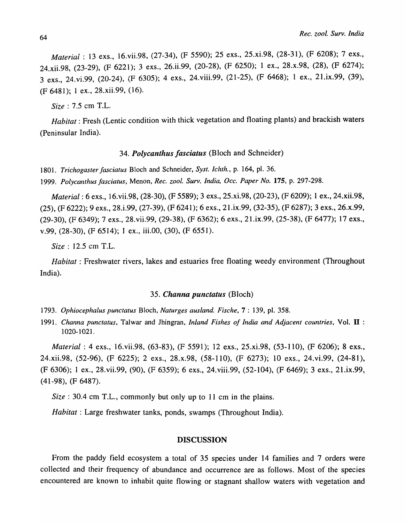*Materiai* : 13 exs., 16.vii.98, (27-34), (F 5590); 25 exs., 25.xi.98, (28-31), (F 6208); 7 exs., 24.xii.98, (23-29), (F 6221); 3 exs., 26.ii.99, (20-28), (F 6250); 1 ex., 28.x.98, (28), (F 6274); 3 exs., 24.vi.99, (20-24), (F 6305); 4 exs., 24.viii.99, (21-25), (F 6468); 1 ex., 21.ix.99, (39), (F 6481); 1 ex., 28.xii.99, (16).

*Size:* 7.5 em T.L.

*Habitat:* Fresh (Lentic condition with thick vegetation and floating plants) and brackish waters (Peninsular India).

## *34. Polycanthus fasciatus* (Bloch and Schneider)

*1801. Trichogaster fasciatus* Bloch and Schneider, *Syst. Ichth.,* p. 164, pI. 36. 1999. Polycanthus fasciatus, Menon, *Rec. zool. Surv. India, Occ. Paper No.* 175, p. 297-298.

*Material:* 6 exs., 16.vii.98, (28-30), (F 5589); 3 exs., 25.xi.98, (20-23), (F 6209); 1 ex., 24.xii.98, (25), (F 6222); 9 exs., 28.i.99, (27-39), (F 6241); 6 exs., 21.ix.99, (32-35), (F 6287); 3 exs., 26.x.99, (29-30), (F 6349); 7 exs., 28. vii.99, (29-38), (F 6362); 6 exs., 21.ix.99, (25-38), (F 6477); 17 exs., v.99, (28-30), (F 6514); 1 ex., iii.00, (30), (F 6551).

*Size:* 12.5 cm T.L.

*Habitat:* Freshwater rivers, lakes and estuaries free floating weedy environment (Throughout India).

#### *35. Channa punctatus* (Bloch)

*1793. Ophiocephalus punctatus* Bloch, *Naturges ausland. Fische,* 7 : 139, pI. 358.

*1991. Channa punctatus,* Ta]war and Jhingran, *Inland Fishes of India and Adjacent countries,* Vol. **II** : 1020-1021.

*Material:* 4 exs., 16.vii.98, (63-83), (F 5591); 12 exs., 25.xi.98, (53-110), (F 6206); 8 exs., 24.xii.98, (52-96), (F 6225); 2 exs., 28.x.98, (58-110), (F 6273); 10 exs., 24.vi.99, (24-81), (F 6306); 1 ex., 28.vii.99, (90), (F 6359); 6 exs., 24.viii.99, (52-104), (F 6469); 3 exs., 21.ix.99, (41-98), (F 6487).

*Size:* 30.4 cm T.L., commonly but only up to 11 cm in the plains.

*Habitat:* Large freshwater tanks, ponds, swamps (Throughout India).

#### DISCUSSION

From the paddy field ecosystem a total of 35 species under 14 families and 7 orders were collected and their frequency of abundance and occurrence are as follows. Most of the species encountered are known to inhabit quite flowing or stagnant shallow waters with vegetation and